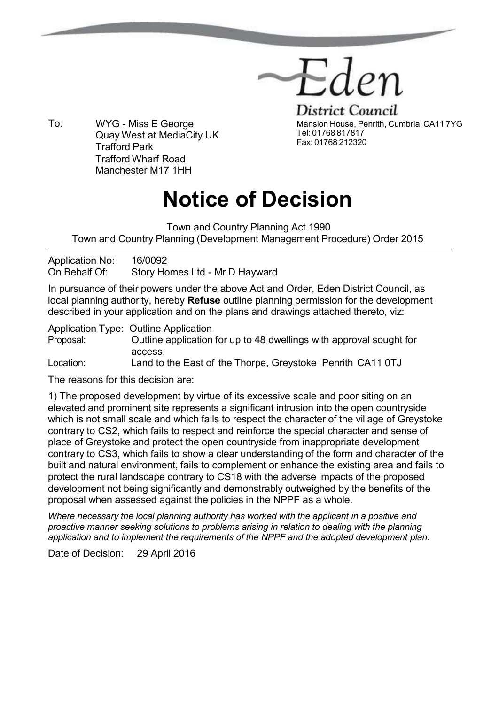

Trafford Wharf Road Manchester M17 1HH To: WYG - Miss E George Quay West at MediaCity UK Trafford Park

**District Council** Mansion House, Penrith, Cumbria CA11 7YG Tel: 01768 817817 Fax: 01768 212320

## **Notice of Decision**

Town and Country Planning Act 1990 Town and Country Planning (Development Management Procedure) Order 2015

Application No: 16/0092 On Behalf Of: Story Homes Ltd - Mr D Hayward

In pursuance of their powers under the above Act and Order, Eden District Council, as local planning authority, hereby **Refuse** outline planning permission for the development described in your application and on the plans and drawings attached thereto, viz:

Application Type: Outline Application Proposal: Outline application for up to 48 dwellings with approval sought for access. Location: Land to the East of the Thorpe, Greystoke Penrith CA11 0TJ

The reasons for this decision are:

1) The proposed development by virtue of its excessive scale and poor siting on an elevated and prominent site represents a significant intrusion into the open countryside which is not small scale and which fails to respect the character of the village of Greystoke contrary to CS2, which fails to respect and reinforce the special character and sense of place of Greystoke and protect the open countryside from inappropriate development contrary to CS3, which fails to show a clear understanding of the form and character of the built and natural environment, fails to complement or enhance the existing area and fails to protect the rural landscape contrary to CS18 with the adverse impacts of the proposed development not being significantly and demonstrably outweighed by the benefits of the proposal when assessed against the policies in the NPPF as a whole.

*Where necessary the local planning authority has worked with the applicant in a positive and proactive manner seeking solutions to problems arising in relation to dealing with the planning application and to implement the requirements of the NPPF and the adopted development plan.*

Date of Decision: 29 April 2016